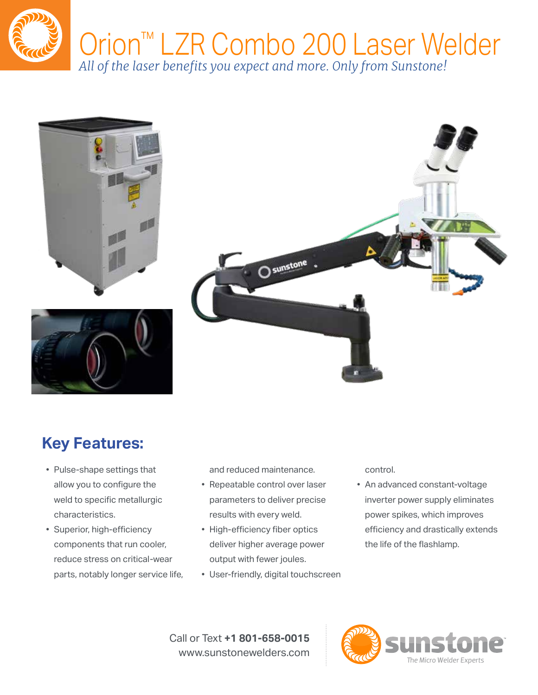







## **Key Features:**

- Pulse-shape settings that allow you to configure the weld to specific metallurgic characteristics.
- Superior, high-efficiency components that run cooler, reduce stress on critical-wear parts, notably longer service life,

and reduced maintenance.

- Repeatable control over laser parameters to deliver precise results with every weld.
- High-efficiency fiber optics deliver higher average power output with fewer joules.
- User-friendly, digital touchscreen

control.

• An advanced constant-voltage inverter power supply eliminates power spikes, which improves efficiency and drastically extends the life of the flashlamp.

Call or Text **+1 801-658-0015** www.sunstonewelders.com